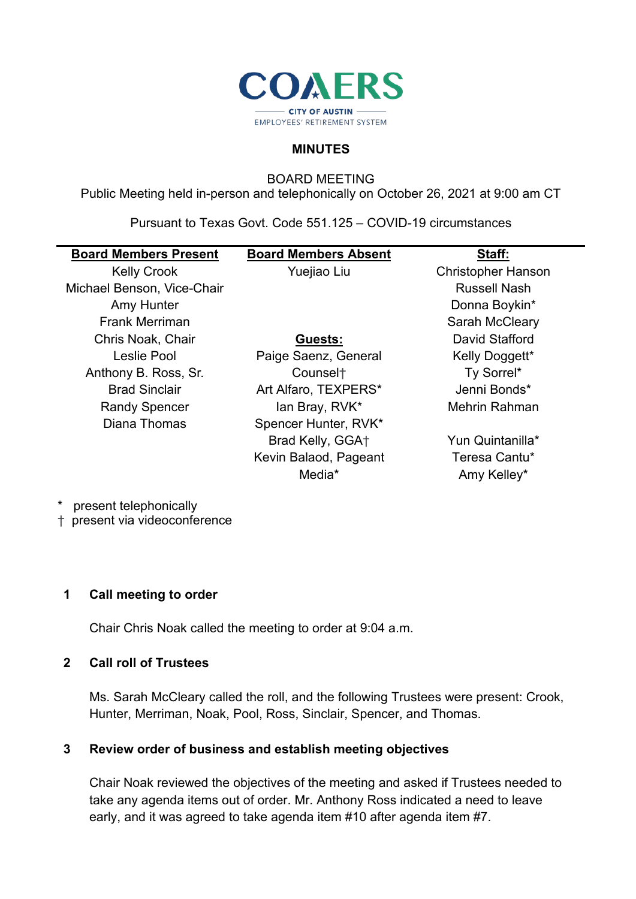

#### **MINUTES**

BOARD MEETING

Public Meeting held in-person and telephonically on October 26, 2021 at 9:00 am CT

Pursuant to Texas Govt. Code 551.125 – COVID-19 circumstances

| <b>Board Members Present</b> | <b>Board Members Absent</b> | Staff:                    |
|------------------------------|-----------------------------|---------------------------|
| <b>Kelly Crook</b>           | Yuejiao Liu                 | <b>Christopher Hanson</b> |
| Michael Benson, Vice-Chair   |                             | <b>Russell Nash</b>       |
| Amy Hunter                   |                             | Donna Boykin*             |
| <b>Frank Merriman</b>        |                             | Sarah McCleary            |
| Chris Noak, Chair            | Guests:                     | David Stafford            |
| Leslie Pool                  | Paige Saenz, General        | Kelly Doggett*            |
| Anthony B. Ross, Sr.         | Counsel <sup>+</sup>        | Ty Sorrel*                |
| <b>Brad Sinclair</b>         | Art Alfaro, TEXPERS*        | Jenni Bonds*              |
| <b>Randy Spencer</b>         | lan Bray, RVK*              | Mehrin Rahman             |
| Diana Thomas                 | Spencer Hunter, RVK*        |                           |
|                              | Brad Kelly, GGA+            | Yun Quintanilla*          |
|                              | Kevin Balaod, Pageant       | Teresa Cantu*             |
|                              | Media*                      | Amy Kelley*               |
|                              |                             |                           |

present telephonically

† present via videoconference

#### **1 Call meeting to order**

Chair Chris Noak called the meeting to order at 9:04 a.m.

#### **2 Call roll of Trustees**

Ms. Sarah McCleary called the roll, and the following Trustees were present: Crook, Hunter, Merriman, Noak, Pool, Ross, Sinclair, Spencer, and Thomas.

#### **3 Review order of business and establish meeting objectives**

Chair Noak reviewed the objectives of the meeting and asked if Trustees needed to take any agenda items out of order. Mr. Anthony Ross indicated a need to leave early, and it was agreed to take agenda item #10 after agenda item #7.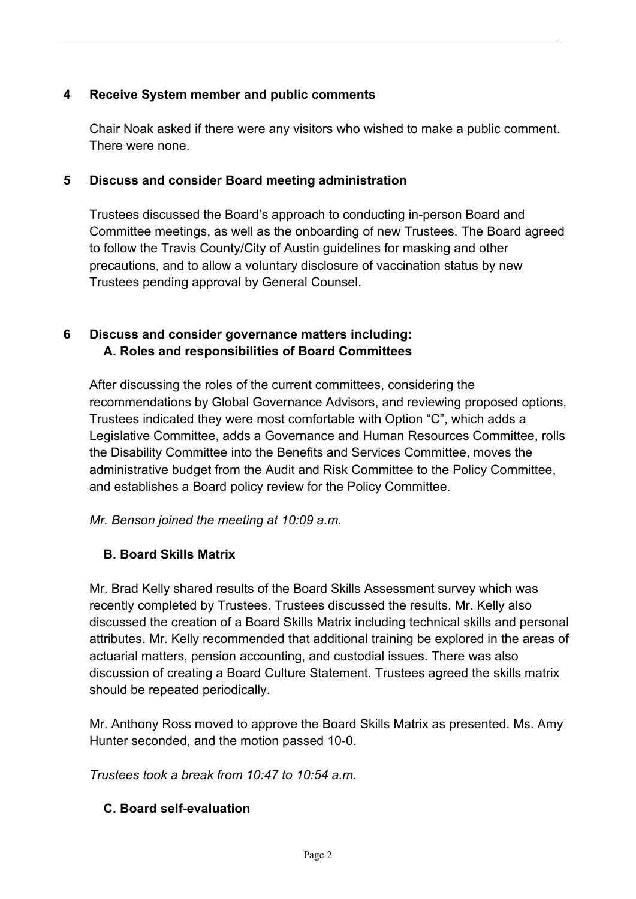## **4 Receive System member and public comments**

Chair Noak asked if there were any visitors who wished to make a public comment. There were none.

### **5 Discuss and consider Board meeting administration**

Trustees discussed the Board's approach to conducting in-person Board and Committee meetings, as well as the onboarding of new Trustees. The Board agreed to follow the Travis County/City of Austin guidelines for masking and other precautions, and to allow a voluntary disclosure of vaccination status by new Trustees pending approval by General Counsel.

## **6 Discuss and consider governance matters including: A. Roles and responsibilities of Board Committees**

After discussing the roles of the current committees, considering the recommendations by Global Governance Advisors, and reviewing proposed options, Trustees indicated they were most comfortable with Option "C", which adds a Legislative Committee, adds a Governance and Human Resources Committee, rolls the Disability Committee into the Benefits and Services Committee, moves the administrative budget from the Audit and Risk Committee to the Policy Committee, and establishes a Board policy review for the Policy Committee.

*Mr. Benson joined the meeting at 10:09 a.m.*

# **B. Board Skills Matrix**

Mr. Brad Kelly shared results of the Board Skills Assessment survey which was recently completed by Trustees. Trustees discussed the results. Mr. Kelly also discussed the creation of a Board Skills Matrix including technical skills and personal attributes. Mr. Kelly recommended that additional training be explored in the areas of actuarial matters, pension accounting, and custodial issues. There was also discussion of creating a Board Culture Statement. Trustees agreed the skills matrix should be repeated periodically.

Mr. Anthony Ross moved to approve the Board Skills Matrix as presented. Ms. Amy Hunter seconded, and the motion passed 10-0.

*Trustees took a break from 10:47 to 10:54 a.m.*

# **C. Board self-evaluation**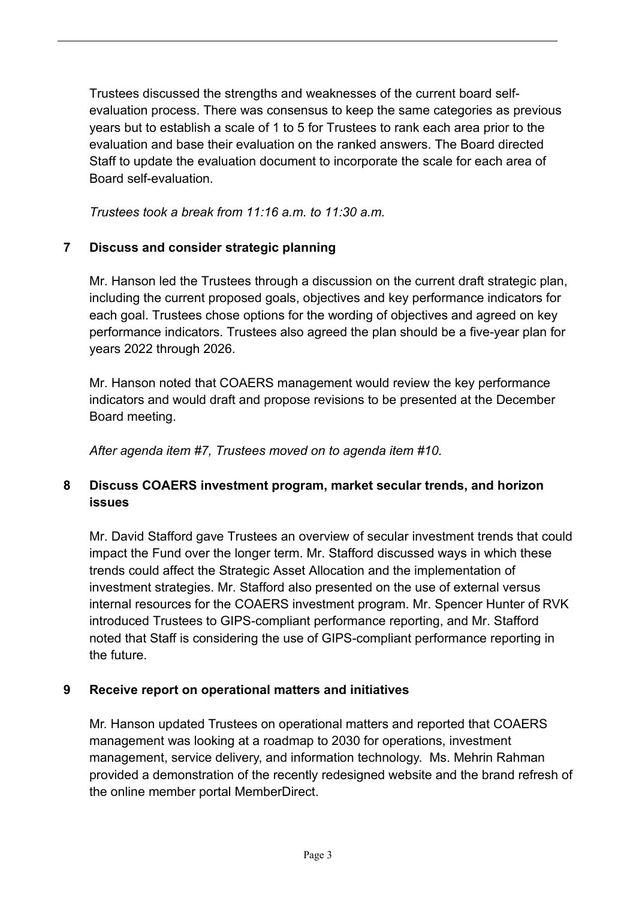Trustees discussed the strengths and weaknesses of the current board selfevaluation process. There was consensus to keep the same categories as previous years but to establish a scale of 1 to 5 for Trustees to rank each area prior to the evaluation and base their evaluation on the ranked answers. The Board directed Staff to update the evaluation document to incorporate the scale for each area of Board self-evaluation.

*Trustees took a break from 11:16 a.m. to 11:30 a.m.*

### **7 Discuss and consider strategic planning**

Mr. Hanson led the Trustees through a discussion on the current draft strategic plan, including the current proposed goals, objectives and key performance indicators for each goal. Trustees chose options for the wording of objectives and agreed on key performance indicators. Trustees also agreed the plan should be a five-year plan for years 2022 through 2026.

Mr. Hanson noted that COAERS management would review the key performance indicators and would draft and propose revisions to be presented at the December Board meeting.

*After agenda item #7, Trustees moved on to agenda item #10.* 

## **8 Discuss COAERS investment program, market secular trends, and horizon issues**

Mr. David Stafford gave Trustees an overview of secular investment trends that could impact the Fund over the longer term. Mr. Stafford discussed ways in which these trends could affect the Strategic Asset Allocation and the implementation of investment strategies. Mr. Stafford also presented on the use of external versus internal resources for the COAERS investment program. Mr. Spencer Hunter of RVK introduced Trustees to GIPS-compliant performance reporting, and Mr. Stafford noted that Staff is considering the use of GIPS-compliant performance reporting in the future.

### **9 Receive report on operational matters and initiatives**

Mr. Hanson updated Trustees on operational matters and reported that COAERS management was looking at a roadmap to 2030 for operations, investment management, service delivery, and information technology. Ms. Mehrin Rahman provided a demonstration of the recently redesigned website and the brand refresh of the online member portal MemberDirect.